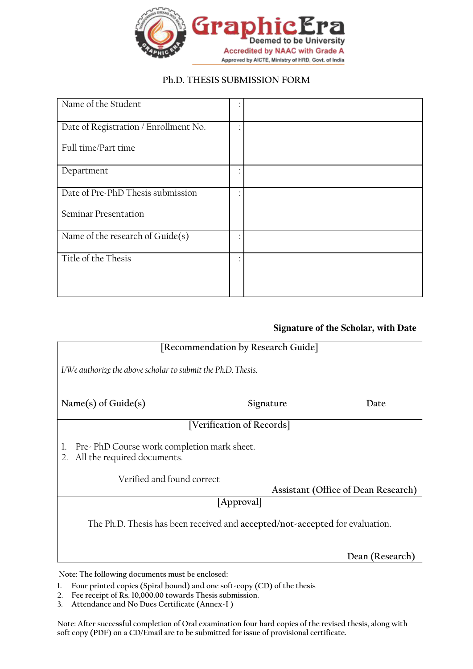

## **Ph.D. THESIS SUBMISSION FORM**

| Name of the Student                   |  |
|---------------------------------------|--|
| Date of Registration / Enrollment No. |  |
| Full time/Part time                   |  |
| Department                            |  |
| Date of Pre-PhD Thesis submission     |  |
| <b>Seminar Presentation</b>           |  |
| Name of the research of Guide(s)      |  |
| Title of the Thesis                   |  |

## **Signature of the Scholar, with Date**

| [Recommendation by Research Guide]                                                    |                           |                 |  |
|---------------------------------------------------------------------------------------|---------------------------|-----------------|--|
| I/We authorize the above scholar to submit the Ph.D. Thesis.                          |                           |                 |  |
| Name(s) of Guide $(s)$                                                                | Signature                 | Date            |  |
|                                                                                       | [Verification of Records] |                 |  |
| Pre-PhD Course work completion mark sheet.<br>1.<br>All the required documents.<br>2. |                           |                 |  |
| Verified and found correct                                                            |                           |                 |  |
| Assistant (Office of Dean Research)                                                   |                           |                 |  |
| [Approval]                                                                            |                           |                 |  |
| The Ph.D. Thesis has been received and accepted/not-accepted for evaluation.          |                           |                 |  |
|                                                                                       |                           | Dean (Research) |  |

**Note: The following documents must be enclosed:**

- **1. Four printed copies (Spiral bound) and one soft-copy (CD) of the thesis**
- **2. Fee receipt of Rs. 10,000.00 towards Thesis submission.**
- **3. Attendance and No Dues Certificate (Annex-I )**

**Note: After successful completion of Oral examination four hard copies of the revised thesis, along with soft copy (PDF) on a CD/Email are to be submitted for issue of provisional certificate.**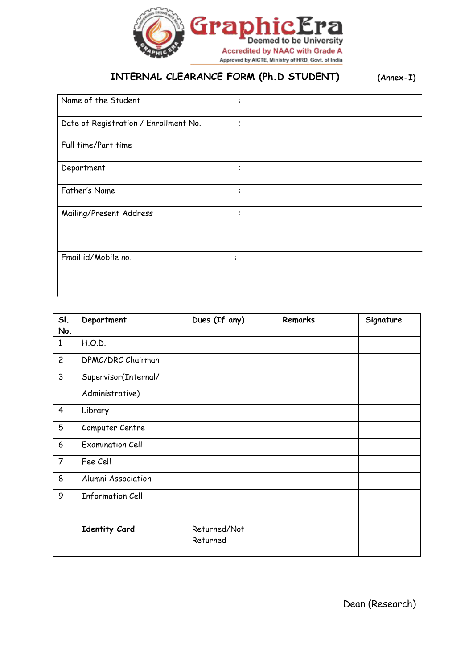

## **INTERNAL CLEARANCE FORM (Ph.D STUDENT) (Annex-I)**

| Name of the Student                   | ٠<br>$\bullet$         |
|---------------------------------------|------------------------|
| Date of Registration / Enrollment No. | ٠<br>$\epsilon$        |
| Full time/Part time                   |                        |
| Department                            | ٠<br>$\bullet$         |
| Father's Name                         | ٠<br>$\bullet$         |
| Mailing/Present Address               | $\bullet$<br>$\bullet$ |
| Email id/Mobile no.                   | $\ddot{\cdot}$         |

| SI.<br>No.     | Department               | Dues (If any)            | <b>Remarks</b> | Signature |
|----------------|--------------------------|--------------------------|----------------|-----------|
| $\mathbf{1}$   | H.O.D.                   |                          |                |           |
| $\overline{c}$ | <b>DPMC/DRC Chairman</b> |                          |                |           |
| $\mathsf{3}$   | Supervisor(Internal/     |                          |                |           |
|                | Administrative)          |                          |                |           |
| $\overline{4}$ | Library                  |                          |                |           |
| 5              | Computer Centre          |                          |                |           |
| 6              | <b>Examination Cell</b>  |                          |                |           |
| $\overline{7}$ | Fee Cell                 |                          |                |           |
| 8              | Alumni Association       |                          |                |           |
| 9              | <b>Information Cell</b>  |                          |                |           |
|                | <b>Identity Card</b>     | Returned/Not<br>Returned |                |           |

Dean (Research)